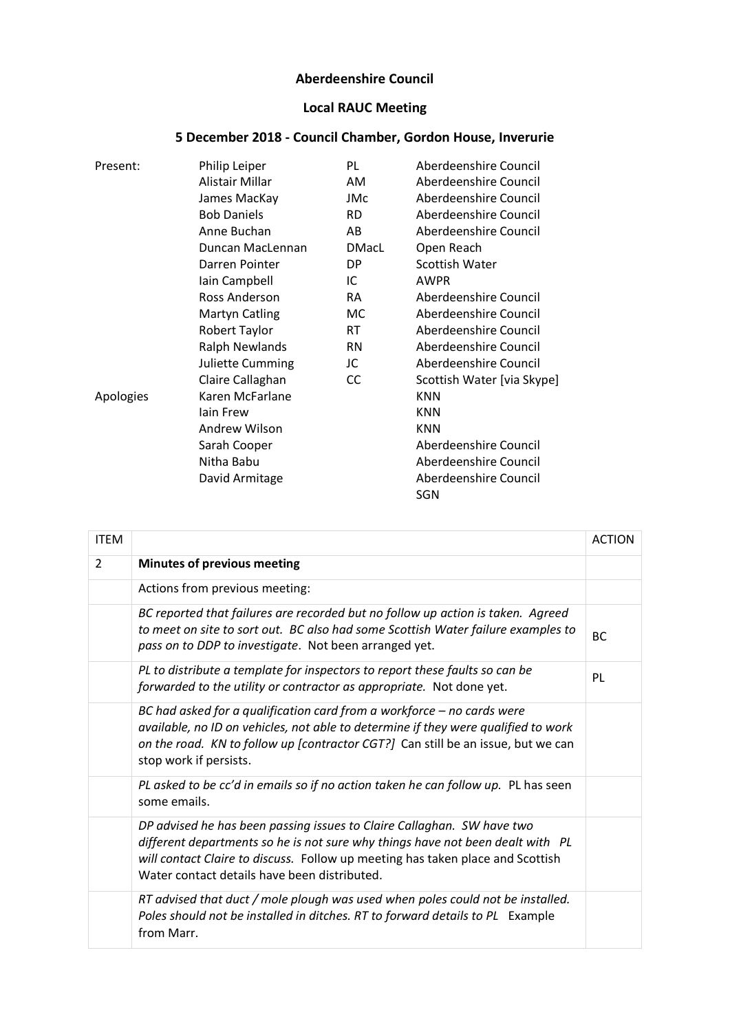## **Aberdeenshire Council**

## **Local RAUC Meeting**

| Present:  | Philip Leiper         | PL        | Aberdeenshire Council        |
|-----------|-----------------------|-----------|------------------------------|
|           | Alistair Millar       | AM        | Aberdeenshire Council        |
|           | James MacKay          | JMc       | Aberdeenshire Council        |
|           | <b>Bob Daniels</b>    | <b>RD</b> | Aberdeenshire Council        |
|           | Anne Buchan           | AB        | Aberdeenshire Council        |
|           | Duncan MacLennan      | DMacL     | Open Reach                   |
|           | Darren Pointer        | DP        | Scottish Water               |
|           | Iain Campbell         | IC.       | <b>AWPR</b>                  |
|           | Ross Anderson         | RA        | Aberdeenshire Council        |
|           | <b>Martyn Catling</b> | MC.       | Aberdeenshire Council        |
|           | Robert Taylor         | RT.       | Aberdeenshire Council        |
|           | <b>Ralph Newlands</b> | <b>RN</b> | Aberdeenshire Council        |
|           | Juliette Cumming      | JC        | Aberdeenshire Council        |
|           | Claire Callaghan      | <b>CC</b> | Scottish Water [via Skype]   |
| Apologies | Karen McFarlane       |           | <b>KNN</b>                   |
|           | lain Frew             |           | <b>KNN</b>                   |
|           | Andrew Wilson         |           | <b>KNN</b>                   |
|           | Sarah Cooper          |           | Aberdeenshire Council        |
|           | Nitha Babu            |           | Aberdeenshire Council        |
|           | David Armitage        |           | Aberdeenshire Council<br>SGN |

| 5 December 2018 - Council Chamber, Gordon House, Inverurie |  |  |
|------------------------------------------------------------|--|--|
|                                                            |  |  |

| <b>ITEM</b>    |                                                                                                                                                                                                                                                                                            | <b>ACTION</b> |
|----------------|--------------------------------------------------------------------------------------------------------------------------------------------------------------------------------------------------------------------------------------------------------------------------------------------|---------------|
| $\overline{2}$ | <b>Minutes of previous meeting</b>                                                                                                                                                                                                                                                         |               |
|                | Actions from previous meeting:                                                                                                                                                                                                                                                             |               |
|                | BC reported that failures are recorded but no follow up action is taken. Agreed<br>to meet on site to sort out. BC also had some Scottish Water failure examples to<br>pass on to DDP to investigate. Not been arranged yet.                                                               | BC.           |
|                | PL to distribute a template for inspectors to report these faults so can be<br>forwarded to the utility or contractor as appropriate. Not done yet.                                                                                                                                        | PL            |
|                | BC had asked for a qualification card from a workforce $-$ no cards were<br>available, no ID on vehicles, not able to determine if they were qualified to work<br>on the road. KN to follow up [contractor CGT?] Can still be an issue, but we can<br>stop work if persists.               |               |
|                | PL asked to be cc'd in emails so if no action taken he can follow up. PL has seen<br>some emails.                                                                                                                                                                                          |               |
|                | DP advised he has been passing issues to Claire Callaghan. SW have two<br>different departments so he is not sure why things have not been dealt with PL<br>will contact Claire to discuss. Follow up meeting has taken place and Scottish<br>Water contact details have been distributed. |               |
|                | RT advised that duct / mole plough was used when poles could not be installed.<br>Poles should not be installed in ditches. RT to forward details to PL Example<br>from Marr.                                                                                                              |               |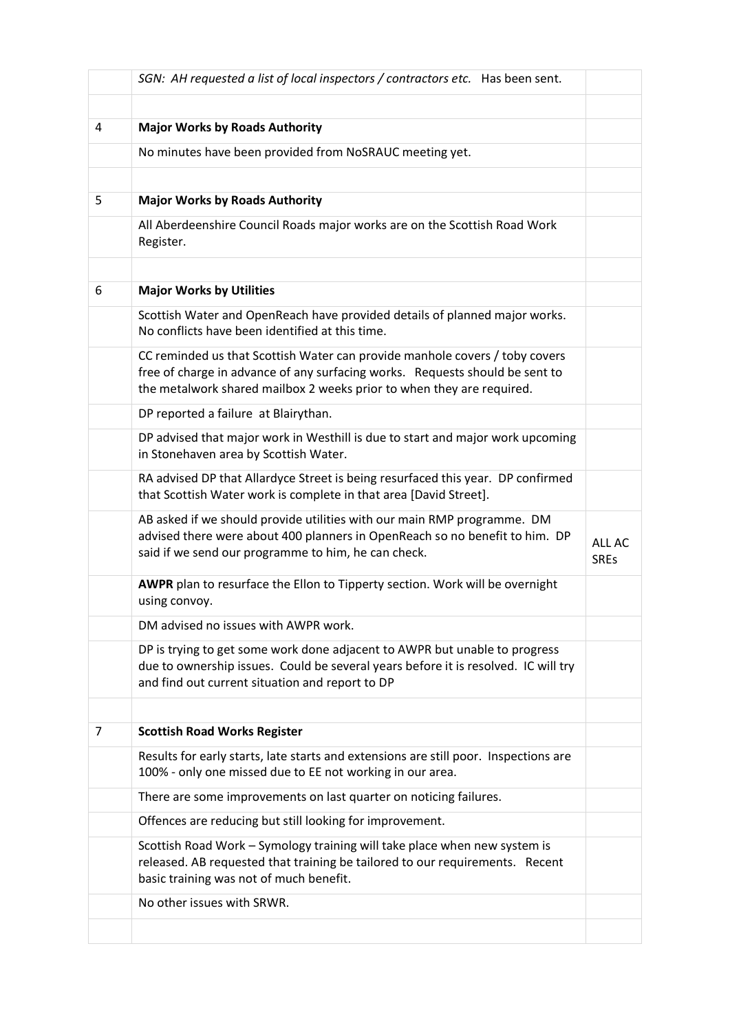|   | SGN: AH requested a list of local inspectors / contractors etc. Has been sent.                                                                                                                                                       |                       |
|---|--------------------------------------------------------------------------------------------------------------------------------------------------------------------------------------------------------------------------------------|-----------------------|
|   |                                                                                                                                                                                                                                      |                       |
| 4 | <b>Major Works by Roads Authority</b>                                                                                                                                                                                                |                       |
|   | No minutes have been provided from NoSRAUC meeting yet.                                                                                                                                                                              |                       |
|   |                                                                                                                                                                                                                                      |                       |
| 5 | <b>Major Works by Roads Authority</b>                                                                                                                                                                                                |                       |
|   | All Aberdeenshire Council Roads major works are on the Scottish Road Work<br>Register.                                                                                                                                               |                       |
|   |                                                                                                                                                                                                                                      |                       |
| 6 | <b>Major Works by Utilities</b>                                                                                                                                                                                                      |                       |
|   | Scottish Water and OpenReach have provided details of planned major works.<br>No conflicts have been identified at this time.                                                                                                        |                       |
|   | CC reminded us that Scottish Water can provide manhole covers / toby covers<br>free of charge in advance of any surfacing works. Requests should be sent to<br>the metalwork shared mailbox 2 weeks prior to when they are required. |                       |
|   | DP reported a failure at Blairythan.                                                                                                                                                                                                 |                       |
|   | DP advised that major work in Westhill is due to start and major work upcoming<br>in Stonehaven area by Scottish Water.                                                                                                              |                       |
|   | RA advised DP that Allardyce Street is being resurfaced this year. DP confirmed<br>that Scottish Water work is complete in that area [David Street].                                                                                 |                       |
|   | AB asked if we should provide utilities with our main RMP programme. DM<br>advised there were about 400 planners in OpenReach so no benefit to him. DP<br>said if we send our programme to him, he can check.                        | ALL AC<br><b>SREs</b> |
|   | AWPR plan to resurface the Ellon to Tipperty section. Work will be overnight<br>using convoy.                                                                                                                                        |                       |
|   | DM advised no issues with AWPR work.                                                                                                                                                                                                 |                       |
|   | DP is trying to get some work done adjacent to AWPR but unable to progress<br>due to ownership issues. Could be several years before it is resolved. IC will try<br>and find out current situation and report to DP                  |                       |
|   |                                                                                                                                                                                                                                      |                       |
| 7 | <b>Scottish Road Works Register</b>                                                                                                                                                                                                  |                       |
|   | Results for early starts, late starts and extensions are still poor. Inspections are<br>100% - only one missed due to EE not working in our area.                                                                                    |                       |
|   | There are some improvements on last quarter on noticing failures.                                                                                                                                                                    |                       |
|   | Offences are reducing but still looking for improvement.                                                                                                                                                                             |                       |
|   | Scottish Road Work - Symology training will take place when new system is<br>released. AB requested that training be tailored to our requirements. Recent<br>basic training was not of much benefit.                                 |                       |
|   | No other issues with SRWR.                                                                                                                                                                                                           |                       |
|   |                                                                                                                                                                                                                                      |                       |